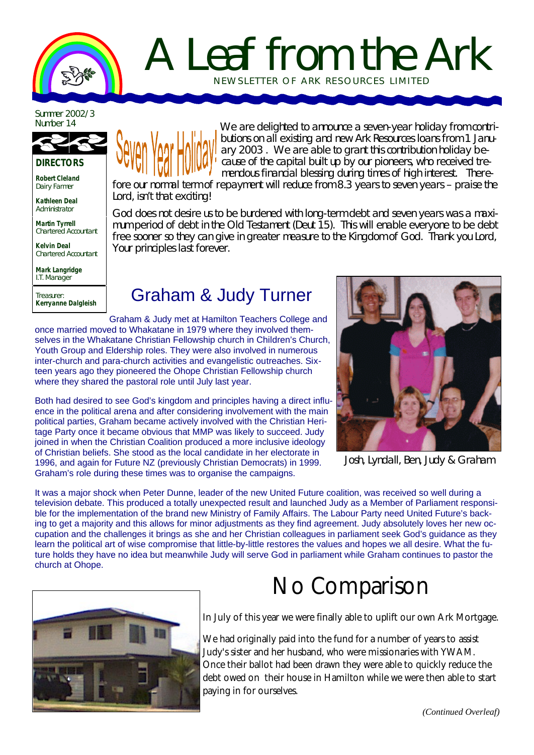

# A Leaf from the Ark NEWSLETTER OF ARK RE SOURCES LIMITED

Summer 2002/3<br>Number 14



**DIRECTORS**

**Robert Cleland** Dairy Farmer

**Kathleen Deal** Administrator

**Martin Tyrrell** Chartered Accountant

**Kelvin Deal** Chartered Accountant

**Mark Langridge** I.T. Manager

Treasurer: **Kerryanne Dalgleish**



We are delighted to announce a seven-year holiday from contributions on all existing and new Ark Resources loans from 1 January 2003 . We are able to grant this contribution holiday because of the capital built up by our pioneers, who received tremendous financial blessing during times of high interest. Therefore our normal term of repayment will reduce from 8.3 years to seven years – praise the

Lord, isn't that exciting!

God does not desire us to be burdened with long-term debt and seven years was a maximum period of debt in the Old Testament (Deut 15). This will enable everyone to be debt free sooner so they can give in greater measure to the Kingdom of God. Thank you Lord, Your principles last forever.

## Graham & Judy Turner

Graham & Judy met at Hamilton Teachers College and once married moved to Whakatane in 1979 where they involved themselves in the Whakatane Christian Fellowship church in Children's Church, Youth Group and Eldership roles. They were also involved in numerous inter-church and para-church activities and evangelistic outreaches. Sixteen years ago they pioneered the Ohope Christian Fellowship church where they shared the pastoral role until July last year.

Both had desired to see God's kingdom and principles having a direct influence in the political arena and after considering involvement with the main political parties, Graham became actively involved with the Christian Heritage Party once it became obvious that MMP was likely to succeed. Judy joined in when the Christian Coalition produced a more inclusive ideology of Christian beliefs. She stood as the local candidate in her electorate in 1996, and again for Future NZ (previously Christian Democrats) in 1999. Graham's role during these times was to organise the campaigns.



Josh, Lyndall, Ben, Judy & Graham

It was a major shock when Peter Dunne, leader of the new United Future coalition, was received so well during a television debate. This produced a totally unexpected result and launched Judy as a Member of Parliament responsible for the implementation of the brand new Ministry of Family Affairs. The Labour Party need United Future's backing to get a majority and this allows for minor adjustments as they find agreement. Judy absolutely loves her new occupation and the challenges it brings as she and her Christian colleagues in parliament seek God's guidance as they learn the political art of wise compromise that little-by-little restores the values and hopes we all desire. What the future holds they have no idea but meanwhile Judy will serve God in parliament while Graham continues to pastor the church at Ohope.



## No Comparison

In July of this year we were finally able to uplift our own Ark Mortgage.

We had originally paid into the fund for a number of years to assist Judy's sister and her husband, who were missionaries with YWAM. Once their ballot had been drawn they were able to quickly reduce the debt owed on their house in Hamilton while we were then able to start paying in for ourselves.